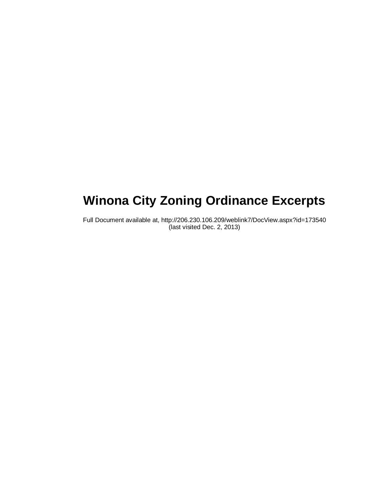# **Winona City Zoning Ordinance Excerpts**

Full Document available at, http://206.230.106.209/weblink7/DocView.aspx?id=173540 (last visited Dec. 2, 2013)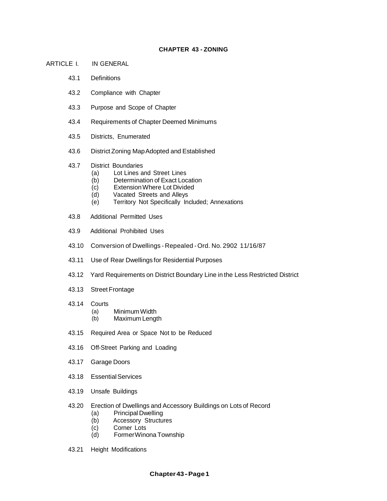## **CHAPTER 43 - ZONING**

- ARTICLE I. IN GENERAL
	- 43.1 Definitions
	- 43.2 Compliance with Chapter
	- 43.3 Purpose and Scope of Chapter
	- 43.4 Requirements of Chapter Deemed Minimums
	- 43.5 Districts, Enumerated
	- 43.6 District Zoning MapAdopted and Established
	- 43.7 District Boundaries
		- (a) Lot Lines and Street Lines
		- (b) Determination of Exact Location
		- (c) ExtensionWhere Lot Divided
		- (d) Vacated Streets and Alleys
		- (e) Territory Not Specifically Included; Annexations
	- 43.8 Additional Permitted Uses
	- 43.9 Additional Prohibited Uses
	- 43.10 Conversion of Dwellings Repealed Ord. No. 2902 11/16/87
	- 43.11 Use of Rear Dwellings for Residential Purposes
	- 43.12 Yard Requirements on District Boundary Line in the Less Restricted District
	- 43.13 Street Frontage
	- 43.14 Courts
		- (a) MinimumWidth
		- (b) Maximum Length
	- 43.15 Required Area or Space Not to be Reduced
	- 43.16 Off-Street Parking and Loading
	- 43.17 Garage Doors
	- 43.18 EssentialServices
	- 43.19 Unsafe Buildings
	- 43.20 Erection of Dwellings and Accessory Buildings on Lots of Record
		- (a) Principal Dwelling
		- (b) Accessory Structures
		- (c) Corner Lots<br>(d) Former Wind
		- Former Winona Township
	- 43.21 Height Modifications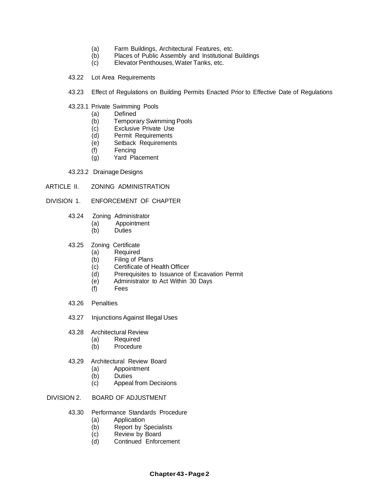- (a) Farm Buildings, Architectural Features, etc.<br>(b) Places of Public Assembly and Institutional
- (b) Places of Public Assembly and Institutional Buildings<br>(c) Elevator Penthouses, Water Tanks, etc.
- Elevator Penthouses, Water Tanks, etc.
- 43.22 Lot Area Requirements
- 43.23 Effect of Regulations on Building Permits Enacted Prior to Effective Date of Regulations
- 43.23.1 Private Swimming Pools
	- (a) Defined<br>(b) Tempora
	- **Temporary Swimming Pools**
	- (c) Exclusive Private Use<br>(d) Permit Requirements
	- Permit Requirements
	- (e) Setback Requirements
	- (f) Fencing
	- (g) Yard Placement
- 43.23.2 Drainage Designs
- ARTICLE II. ZONING ADMINISTRATION

## DIVISION 1. ENFORCEMENT OF CHAPTER

- 43.24 Zoning Administrator
	- (a) Appointment
	- (b) Duties
- 43.25 Zoning Certificate
	- (a) Required
	- (b) Filing of Plans
	- (c) Certificate of Health Officer
	- (d) Prerequisites to Issuance of Excavation Permit
	- (e) Administrator to Act Within 30 Days
	- (f) Fees
- 43.26 Penalties
- 43.27 InjunctionsAgainst Illegal Uses
- 43.28 Architectural Review
	- (a) Required
	- (b) Procedure
- 43.29 Architectural Review Board
	- (a) Appointment
	- (b) Duties<br>(c) Appeal
	- Appeal from Decisions
- DIVISION 2. BOARD OF ADJUSTMENT
	- 43.30 Performance Standards Procedure
		- (a) Application
		- (b) Report by Specialists
		- (c) Review by Board
		- (d) Continued Enforcement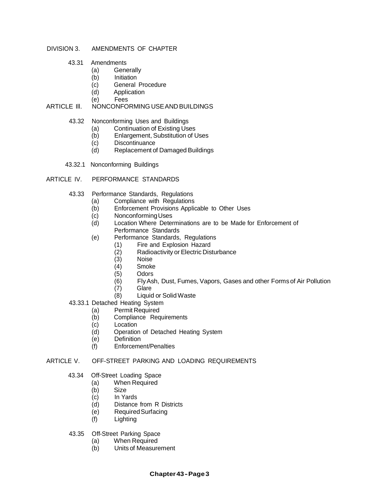## DIVISION 3. AMENDMENTS OF CHAPTER

- 43.31 Amendments
	- (a) Generally<br>(b) Initiation
	- **Initiation**
	- (c) General Procedure
	- (d) Application<br>(e) Fees
	- **Fees**

## ARTICLE III. NONCONFORMING USE AND BUILDINGS

- 43.32 Nonconforming Uses and Buildings
	- (a) Continuation of Existing Uses<br>(b) Enlargement, Substitution of U
	- (b) Enlargement, Substitution of Uses<br>(c) Discontinuance
	- Discontinuance
	- (d) Replacement of Damaged Buildings
- 43.32.1 Nonconforming Buildings

## ARTICLE IV. PERFORMANCE STANDARDS

- 43.33 Performance Standards, Regulations
	- (a) Compliance with Regulations<br>(b) Enforcement Provisions Applic
	- Enforcement Provisions Applicable to Other Uses
	- (c) Nonconforming Uses<br>
	(d) Location Where Deter
	- Location Where Determinations are to be Made for Enforcement of Performance Standards
	- (e) Performance Standards, Regulations
		- (1) Fire and Explosion Hazard
			- $(2)$  Radioactivity or Electric Disturbance<br> $(3)$  Noise
			-
			- (3) Noise Smoke
		- (5) Odors
		- (6) FlyAsh, Dust, Fumes, Vapors, Gases and other Forms of Air Pollution
		- (7) Glare
		- (8) Liquid or Solid Waste
- 43.33.1 Detached Heating System
	- (a) Permit Required
	- (b) Compliance Requirements
	- (c) Location
	- (d) Operation of Detached Heating System
	- (e) Definition
	- (f) Enforcement/Penalties

# ARTICLE V. OFF-STREET PARKING AND LOADING REQUIREMENTS

- 43.34 Off-Street Loading Space
	- (a) When Required<br>(b) Size
	- (b) Size
	- (c) In Yards
	- (d) Distance from R Districts
	- (e) RequiredSurfacing
	- (f) Lighting
- 43.35 Off-Street Parking Space
	- (a) When Required
	- (b) Units of Measurement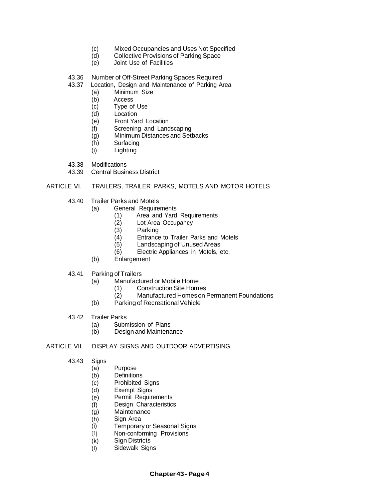- (c) Mixed Occupancies and Uses Not Specified<br>(d) Collective Provisions of Parking Space
- (d) Collective Provisions of Parking Space<br>(e) Joint Use of Facilities
- Joint Use of Facilities
- 43.36 Number of Off-Street Parking Spaces Required<br>43.37 Location, Design and Maintenance of Parking A
- Location, Design and Maintenance of Parking Area
	- (a) Minimum Size
	- (b) Access
	- (c) Type of Use<br>(d) Location
	- (d) Location<br>(e) Front Yai
	- Front Yard Location
	- (f) Screening and Landscaping
	- (g) Minimum Distances and Setbacks
	- (h) Surfacing
	- (i) Lighting
- 43.38 Modifications
- 43.39 Central Business District

## ARTICLE VI. TRAILERS, TRAILER PARKS, MOTELS AND MOTOR HOTELS

- 43.40 Trailer Parks and Motels
	- (a) General Requirements
		- (1) Area and Yard Requirements
		- (2) Lot Area Occupancy<br>(3) Parking
		- (3) Parking
		- Entrance to Trailer Parks and Motels
		- (5) Landscaping of UnusedAreas
		- (6) Electric Appliances in Motels, etc.
	- (b) Enlargement
- 43.41 Parking of Trailers
	- (a) Manufactured or Mobile Home
		- (1) Construction Site Homes
			- (2) Manufactured Homeson Permanent Foundations
	- (b) Parking of Recreational Vehicle
- 43.42 Trailer Parks
	- (a) Submission of Plans
	- (b) Design and Maintenance
- ARTICLE VII. DISPLAY SIGNS AND OUTDOOR ADVERTISING
	- 43.43 Signs
		- (a) Purpose
		- (b) **Definitions**
		- (c) **Prohibited Signs**
		- (d) Exempt Signs
		- (e) Permit Requirements
		- (f) Design Characteristics
		- (g) **Maintenance**
		- (h) Sign Area
		- (i) Temporary or Seasonal Signs
		- U) Non-conforming Provisions
		- (k) **Sign Districts**
		- (I) Sidewalk Signs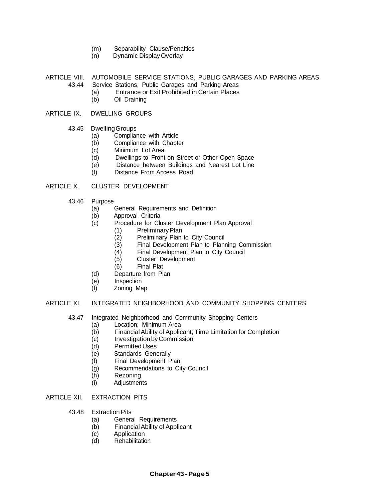- (m) Separability Clause/Penalties<br>(n) Dynamic Display Overlay
- Dynamic Display Overlay
- ARTICLE VIII. AUTOMOBILE SERVICE STATIONS, PUBLIC GARAGES AND PARKING AREAS<br>43.44 Service Stations, Public Garages and Parking Areas Service Stations, Public Garages and Parking Areas
	- (a) Entrance or Exit Prohibited in Certain Places<br>(b) Oil Draining
	- Oil Draining

## ARTICLE IX. DWELLING GROUPS

- 43.45 DwellingGroups
	- (a) Compliance with Article
	- (b) Compliance with Chapter
	- (c) Minimum Lot Area
	- (d) Dwellings to Front on Street or Other Open Space
	- (e) Distance between Buildings and Nearest Lot Line
	- Distance From Access Road

## ARTICLE X. CLUSTER DEVELOPMENT

- 43.46 Purpose
	- (a) General Requirements and Definition
	- (b) Approval Criteria
	- (c) Procedure for Cluster Development Plan Approval
		- (1) PreliminaryPlan
		- (2) Preliminary Plan to City Council
		- (3) Final Development Plan to Planning Commission
		- (4) Final Development Plan to City Council
		- (5) Cluster Development
		- (6) Final Plat
	- (d) Departure from Plan
	- (e) Inspection
	- (f) Zoning Map

## ARTICLE XI. INTEGRATED NEIGHBORHOOD AND COMMUNITY SHOPPING CENTERS

- 43.47 Integrated Neighborhood and Community Shopping Centers
	- (a) Location; Minimum Area
	- (b) FinancialAbility of Applicant; Time Limitation for Completion
	- (c) Investigation byCommission
	- (d) PermittedUses
	- (e) Standards Generally
	- (f) Final Development Plan
	- (g) Recommendations to City Council
	- (h) Rezoning
	- (i) Adjustments

## ARTICLE XII. EXTRACTION PITS

- 43.48 Extraction Pits
	- (a) General Requirements
	- (b) FinancialAbility of Applicant
	- (c) Application
	- (d) Rehabilitation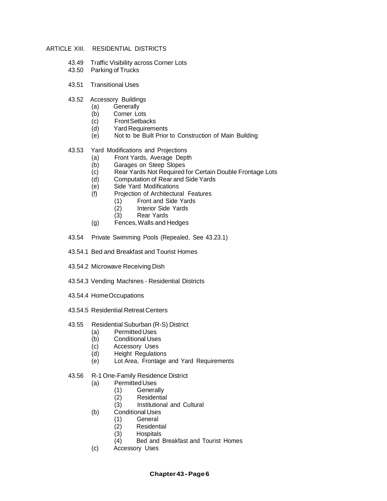## ARTICLE XIII. RESIDENTIAL DISTRICTS

- 43.49 Traffic Visibility across Corner Lots
- 43.50 Parking of Trucks
- 43.51 Transitional Uses
- 43.52 Accessory Buildings
	- (a) Generally
	- (b) Corner Lots
	- (c) FrontSetbacks
	- (d) Yard Requirements
	- (e) Not to be Built Prior to Construction of Main Building

## 43.53 Yard Modifications and Projections

- (a) Front Yards, Average Depth
- (b) Garages on Steep Slopes<br>(c) Rear Yards Not Required t
- (c) Rear Yards Not Required for Certain Double Frontage Lots
- Computation of Rear and Side Yards
- (e) Side Yard Modifications
- (f) Projection of Architectural Features
	- (1) Front and Side Yards<br>(2) Interior Side Yards
	- (2) Interior Side Yards<br>(3) Rear Yards
	- Rear Yards
- (g) Fences,Walls and Hedges
- 43.54 Private Swimming Pools (Repealed, See 43.23.1)
- 43.54.1 Bed and Breakfast and Tourist Homes
- 43.54.2 Microwave Receiving Dish
- 43.54.3 Vending Machines Residential Districts
- 43.54.4 HomeOccupations
- 43.54.5 Residential Retreat Centers
- 43.55 Residential Suburban (R-S) District
	- (a) PermittedUses
	- (b) Conditional Uses
	- (c) Accessory Uses
	- (d) Height Regulations
	- (e) Lot Area, Frontage and Yard Requirements
- 43.56 R-1 One-Family Residence District
	- (a) PermittedUses
		- (1) Generally
		- (2) Residential
		- (3) Institutional and Cultural
	- (b) Conditional Uses
		- (1) General
		- (2) Residential
		- (3) Hospitals
		- (4) Bed and Breakfast and Tourist Homes
	- (c) Accessory Uses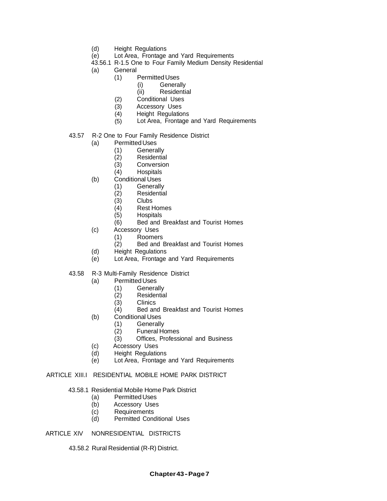- (d) Height Regulations
- (e) Lot Area, Frontage and Yard Requirements
- 43.56.1 R-1.5 One to Four Family Medium Density Residential
- (a) General<br>(1)  $\qquad$ 
	- Permitted Uses
		- (i) Generally
		- (ii) Residential
	- (2) Conditional Uses
	- (3) Accessory Uses
	- $(4)$ Height Regulations
	- (5) Lot Area, Frontage and Yard Requirements
- 43.57 R-2 One to Four Family Residence District
	- (a) PermittedUses
		-
		- (1) Generally (2) Residential
		- **Conversion**
		- (4) Hospitals
	- (b) Conditional Uses<br>(1) Generally
		- (1) Generally<br>(2) Residentia
		- $\begin{array}{cc} (2) & \quad \text{Residential} \\ (3) & \quad \text{Clubs} \end{array}$
		- Clubs
		- (4) Rest Homes
		- **Hospitals**
		- (6) Bed and Breakfast and Tourist Homes
	- (c) Accessory Uses
		- (1) Roomers<br>(2) Bed and I
			- Bed and Breakfast and Tourist Homes
	- (d) Height Regulations
	- (e) Lot Area, Frontage and Yard Requirements

## 43.58 R-3 Multi-Family Residence District

- (a) PermittedUses
	- (1) Generally
		- Residential
	- (3) Clinics
	- (4) Bed and Breakfast and Tourist Homes
- (b) Conditional Uses
	- (1) Generally<br>(2) Funeral Ho
	- **Funeral Homes**
	- (3) Offices, Professional and Business
- (c) Accessory Uses
- (d) Height Regulations
- (e) Lot Area, Frontage and Yard Requirements

## ARTICLE XIII.I RESIDENTIAL MOBILE HOME PARK DISTRICT

## 43.58.1 Residential Mobile Home Park District

- (a) PermittedUses
- (b) Accessory Uses
- (c) Requirements
- (d) Permitted Conditional Uses

## ARTICLE XIV NONRESIDENTIAL DISTRICTS

43.58.2 Rural Residential (R-R) District.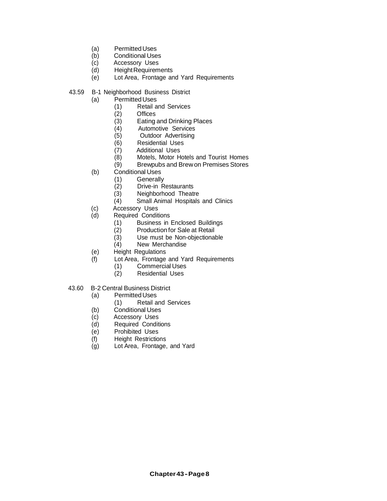- (a) Permitted Uses<br>(b) Conditional Use
- (b) Conditional Uses<br>
(c) Accessory Uses
- (c) Accessory Uses<br>(d) Height Requirem
- (d) Height Requirements<br>(e) Lot Area, Frontage are
- Lot Area, Frontage and Yard Requirements
- 43.59 B-1 Neighborhood Business District
	- (a) PermittedUses
		- (1) Retail and Services
		- **Offices**
		- (3) Eating and Drinking Places
		- (4) Automotive Services
		- (5) Outdoor Advertising
		- Residential Uses
		- (7) Additional Uses<br>(8) Motels, Motor He
		- $(8)$  Motels, Motor Hotels and Tourist Homes<br>(9) Brewpubs and Brew on Premises Stores
		- Brewpubs and Brew on Premises Stores
	- (b) Conditional Uses
		- (1) Generally<br>(2) Drive-in R
		- (2) Drive-in Restaurants<br>(3) Neighborhood Theatr
		- $(3)$  Neighborhood Theatre<br>  $(4)$  Small Animal Hospitals
		- Small Animal Hospitals and Clinics
	- (c) Accessory Uses<br>(d) Required Conditi
	- Required Conditions
		- (1) Business in Enclosed Buildings<br>(2) Production for Sale at Retail
		-
		- (2) Production for Sale at Retail<br>(3) Use must be Non-objectional (3) Use must be Non-objectionable<br>(4) New Merchandise
		- New Merchandise
	- (e) Height Regulations
	- (f) Lot Area, Frontage and Yard Requirements
		- (1) Commercial Uses<br>(2) Residential Uses
		- Residential Uses
- 43.60 B-2 Central Business District
	- (a) PermittedUses
		- (1) Retail and Services
	- (b) Conditional Uses
	- (c) Accessory Uses
	- (d) Required Conditions
	- (e) Prohibited Uses
	- (f) Height Restrictions
	- (g) Lot Area, Frontage, and Yard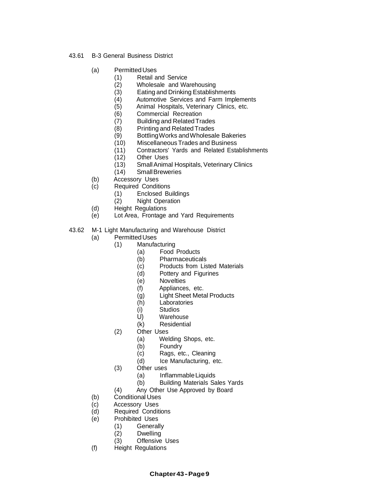- 43.61 B-3 General Business District
	- (a) PermittedUses
		- (1) Retail and Service
		- (2) Wholesale and Warehousing
		-
		- (3) Eating and Drinking Establishments<br>(4) Automotive Services and Farm Imple
		- (4) Automotive Services and Farm Implements<br>(5) Animal Hospitals, Veterinary Clinics, etc. Animal Hospitals, Veterinary Clinics, etc.
		- (6) Commercial Recreation
		- (7) Building and RelatedTrades
		-
		- (8) Printing and Related Trades<br>(9) Bottling Works and Wholesal (9) Bottling Works and Wholesale Bakeries<br>(10) Miscellaneous Trades and Business
			- Miscellaneous Trades and Business
		- (11) Contractors' Yards and Related Establishments
		- (12) Other Uses
		- (13) SmallAnimal Hospitals, Veterinary Clinics
		- (14) SmallBreweries
	- (b) Accessory Uses
	- (c) Required Conditions
		- (1) Enclosed Buildings
		- (2) Night Operation
	- (d) Height Regulations
	- (e) Lot Area, Frontage and Yard Requirements
- 43.62 M-1 Light Manufacturing and Warehouse District
	- (a) PermittedUses
		- (1) Manufacturing
			- (a) Food Products<br>(b) Pharmaceutica
				-
			- (b) Pharmaceuticals<br>(c) Products from Lis Products from Listed Materials
			- (d) Pottery and Figurines
			- (e) Novelties
			- (f) Appliances, etc.
			- (g) Light Sheet Metal Products
			- (h) Laboratories
			- (i) Studios<br>U) Warehor
			- **Warehouse**
			- (k) Residential
		- (2) Other Uses
			- (a) Welding Shops, etc.
			- (b) Foundry
			- (c) Rags, etc., Cleaning
			- (d) Ice Manufacturing, etc.
		- (3) Other uses
			- (a) InflammableLiquids
			- (b) Building Materials Sales Yards
		- (4) Any Other Use Approved by Board
	- (b) Conditional Uses
	- (c) Accessory Uses
	- (d) Required Conditions
	- (e) Prohibited Uses
		- (1) Generally
		- (2) Dwelling
		- (3) Offensive Uses
	- (f) Height Regulations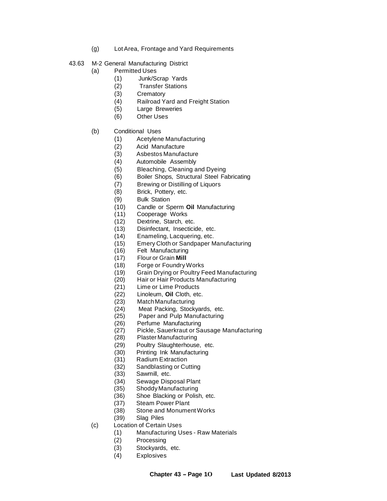- (g) Lot Area, Frontage and Yard Requirements
- 43.63 M-2 General Manufacturing District
	- (a) Permitted Uses
		- (1) Junk/Scrap Yards
			- **Transfer Stations**
		- (3) Crematory
		- (4) Railroad Yard and Freight Station
		- (5) Large Breweries
		- (6) Other Uses
	- (b) Conditional Uses
		- (1) Acetylene Manufacturing
		- (2) Acid Manufacture
		- (3) Asbestos Manufacture
		- (4) Automobile Assembly
		- (5) Bleaching, Cleaning and Dyeing
		- (6) Boiler Shops, Structural Steel Fabricating
		- (7) Brewing or Distilling of Liquors
		- (8) Brick, Pottery, etc.
		- (9) Bulk Station
		- (10) Candle or Sperm **Oil** Manufacturing
		- (11) Cooperage Works
		- (12) Dextrine, Starch, etc.
		- (13) Disinfectant, Insecticide, etc.
		- (14) Enameling, Lacquering, etc.
		- (15) Emery Cloth or Sandpaper Manufacturing
		- (16) Felt Manufacturing
		- (17) Flour or Grain **Mill**
		- (18) Forge or FoundryWorks
		- (19) Grain Drying or Poultry Feed Manufacturing
		- (20) Hair or Hair Products Manufacturing
		- (21) Lime or Lime Products
		- (22) Linoleum, **Oil** Cloth, etc.
		- (23) MatchManufacturing
		- (24) Meat Packing, Stockyards, etc.
		- (25) Paper and Pulp Manufacturing
		- (26) Perfume Manufacturing
		- (27) Pickle, Sauerkraut or Sausage Manufacturing
		- (28) Plaster Manufacturing
		- (29) Poultry Slaughterhouse, etc.
		- (30) Printing Ink Manufacturing
		- (31) Radium Extraction
		- (32) Sandblasting or Cutting
		- (33) Sawmill, etc.
		- (34) Sewage Disposal Plant
		- (35) ShoddyManufacturing
		- (36) Shoe Blacking or Polish, etc.
		- (37) Steam Power Plant
		- (38) Stone and MonumentWorks
		- (39) Slag Piles
	- (c) Location of Certain Uses
		- (1) Manufacturing Uses Raw Materials
		- (2) Processing
		- (3) Stockyards, etc.
		- (4) Explosives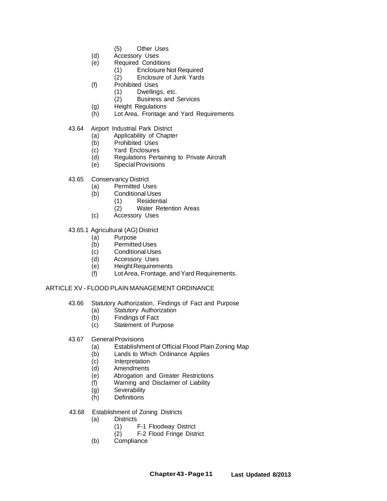- (5) Other Uses
- (d) Accessory Uses
- (e) Required Conditions
	- (1) Enclosure Not Required<br>(2) Enclosure of Junk Yards
		- Enclosure of Junk Yards
- (f) Prohibited Uses
	- (1) Dwellings, etc.
	- (2) Business and Services
- (g) Height Regulations<br>(h) Lot Area, Frontage
- Lot Area, Frontage and Yard Requirements
- 43.64 Airport Industrial Park District
	- (a) Applicability of Chapter<br>(b) Prohibited Uses
	- Prohibited Uses
	- (c) Yard Enclosures
	- (d) Regulations Pertaining to Private Aircraft
	- (e) SpecialProvisions
- 43.65 Conservancy District
	- (a) Permitted Uses
	- (b) Conditional Uses
		- (1) Residential
		- (2) Water Retention Areas
	- (c) Accessory Uses

## 43.65.1 Agricultural (AG) District

- (a) Purpose
- (b) PermittedUses
- (c) Conditional Uses<br>
(d) Accessory Uses
- Accessory Uses
- (e) HeightRequirements
- (f) LotArea, Frontage, andYard Requirements.

# ARTICLE XV - FLOOD PLAIN MANAGEMENT ORDINANCE

- 43.66 Statutory Authorization, Findings of Fact and Purpose
	- (a) Statutory Authorization
	- (b) Findings of Fact<br>(c) Statement of Pur
	- Statement of Purpose
- 43.67 General Provisions
	- (a) Establishment of Official Flood Plain Zoning Map
	- (b) Lands to Which Ordinance Applies
	- (c) Interpretation
	- (d) Amendments
	- (e) Abrogation and Greater Restrictions
	- (f) Warning and Disclaimer of Liability
	- (g) Severability
	- (h) Definitions
- 43.68 Establishment of Zoning Districts
	- (a) Districts
		- (1) F-1 Floodway District<br>(2) F-2 Flood Fringe Distr
		- **F-2 Flood Fringe District**
	- (b) Compliance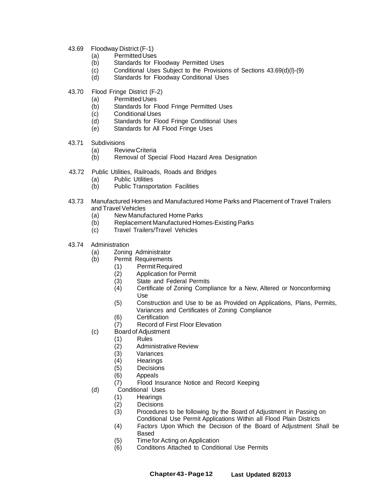- 43.69 Floodway District (F-1)
	- (a) Permitted Uses<br>(b) Standards for Fl
	- Standards for Floodway Permitted Uses
	- (c) Conditional Uses Subject to the Provisions of Sections 43.69(d)(l)-(9)
	- (d) Standards for Floodway Conditional Uses
- 43.70 Flood Fringe District (F-2)
	- (a) PermittedUses
	- (b) Standards for Flood Fringe Permitted Uses
	- (c) Conditional Uses
	- (d) Standards for Flood Fringe Conditional Uses
	- (e) Standards for All Flood Fringe Uses
- 43.71 Subdivisions
	- (a) ReviewCriteria
	- (b) Removal of Special Flood Hazard Area Designation
- 43.72 Public Utilities, Railroads, Roads and Bridges
	- (a) Public Utilities<br>(b) Public Transpo
	- Public Transportation Facilities
- 43.73 Manufactured Homes and Manufactured Home Parks and Placement of Travel Trailers and Travel Vehicles
	- (a) New Manufactured Home Parks
	- (b) Replacement Manufactured Homes-ExistingParks
	- (c) Travel Trailers/Travel Vehicles
- 43.74 Administration
	- (a) Zoning Administrator
	- (b) Permit Requirements
		- (1) Permit Required
		- Application for Permit
		- (3) State and Federal Permits
		- (4) Certificate of Zoning Compliance for a New, Altered or Nonconforming Use
		- (5) Construction and Use to be as Provided on Applications, Plans, Permits, Variances and Certificates of Zoning Compliance
		- (6) Certification
		- (7) Record of First Floor Elevation
	- (c) Boardof Adjustment
		- (1) Rules
			- (2) Administrative Review
			- (3) Variances
			- (4) Hearings
			- (5) Decisions
			- (6) Appeals
			- (7) Flood Insurance Notice and Record Keeping
	- (d) Conditional Uses
		- (1) Hearings
		- (2) Decisions
		- (3) Procedures to be following by the Board of Adjustment in Passing on Conditional Use Permit Applications Within all Flood Plain Districts
		- (4) Factors Upon Which the Decision of the Board of Adjustment Shall be Based
		- (5) Time for Acting on Application
		- (6) Conditions Attached to Conditional Use Permits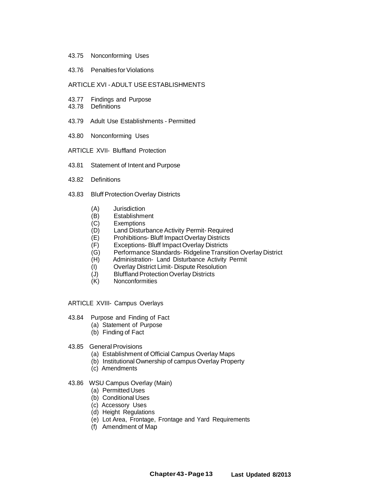- 43.75 Nonconforming Uses
- 43.76 Penalties for Violations

#### ARTICLE XVI - ADULT USE ESTABLISHMENTS

- 43.77 Findings and Purpose
- 43.78 Definitions
- 43.79 Adult Use Establishments Permitted
- 43.80 Nonconforming Uses
- ARTICLE XVII- Bluffland Protection
- 43.81 Statement of Intent and Purpose
- 43.82 Definitions
- 43.83 Bluff Protection Overlay Districts
	- (A) Jurisdiction<br>(B) Establishme
	- **Establishment**
	- (C) Exemptions
	- (D) Land Disturbance Activity Permit- Required<br>(E) Prohibitions- Bluff Impact Overlay Districts
	- Prohibitions- Bluff Impact Overlay Districts
	- (F) Exceptions- Bluff ImpactOverlay Districts
	- (G) Performance Standards- Ridgeline Transition Overlay District<br>(H) Administration- Land Disturbance Activity Permit
	- Administration- Land Disturbance Activity Permit
	- (I) Overlay District Limit- Dispute Resolution
	- (J) Bluffland Protection Overlay Districts
	- (K) Nonconformities
- ARTICLE XVIII- Campus Overlays
- 43.84 Purpose and Finding of Fact
	- (a) Statement of Purpose
	- (b) Finding of Fact
- 43.85 General Provisions
	- (a) Establishment of Official Campus Overlay Maps
	- (b) Institutional Ownership of campus Overlay Property
	- (c) Amendments
- 43.86 WSU Campus Overlay (Main)
	- (a) PermittedUses
	- (b) Conditional Uses
	- (c) Accessory Uses
	- (d) Height Regulations
	- (e) Lot Area, Frontage, Frontage and Yard Requirements
	- (f) Amendment of Map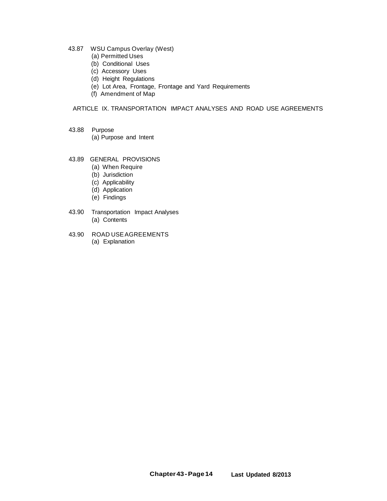- 43.87 WSU Campus Overlay (West)
	- (a) Permitted Uses
	- (b) Conditional Uses
	- (c) Accessory Uses
	- (d) Height Regulations
	- (e) Lot Area, Frontage, Frontage and Yard Requirements
	- (f) Amendment of Map

## ARTICLE IX. TRANSPORTATION IMPACT ANALYSES AND ROAD USE AGREEMENTS

- 43.88 Purpose (a) Purpose and Intent
- 
- 43.89 GENERAL PROVISIONS (a) When Require
	-
	- (b) Jurisdiction
	- (c) Applicability
	- (d) Application
	- (e) Findings
- 43.90 Transportation Impact Analyses (a) Contents
- 43.90 ROAD USEAGREEMENTS (a) Explanation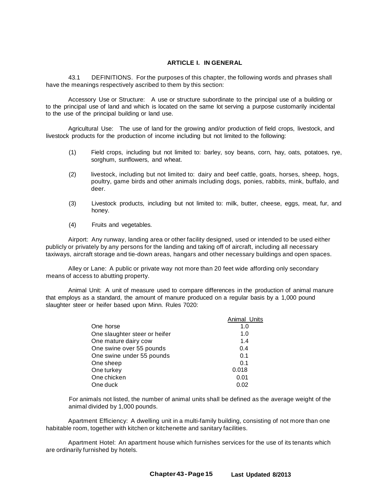## **ARTICLE I. IN GENERAL**

43.1 DEFINITIONS. For the purposes of this chapter, the following words and phrases shall have the meanings respectively ascribed to them by this section:

Accessory Use or Structure: A use or structure subordinate to the principal use of a building or to the principal use of land and which is located on the same lot serving a purpose customarily incidental to the use of the principal building or land use.

Agricultural Use: The use of land for the growing and/or production of field crops, livestock, and livestock products for the production of income including but not limited to the following:

- (1) Field crops, including but not limited to: barley, soy beans, corn, hay, oats, potatoes, rye, sorghum, sunflowers, and wheat.
- (2) livestock, including but not limited to: dairy and beef cattle, goats, horses, sheep, hogs, poultry, game birds and other animals including dogs, ponies, rabbits, mink, buffalo, and deer.
- (3) Livestock products, including but not limited to: milk, butter, cheese, eggs, meat, fur, and honey.
- (4) Fruits and vegetables.

Airport: Any runway, landing area or other facility designed, used or intended to be used either publicly or privately by any persons for the landing and taking off of aircraft, including all necessary taxiways, aircraft storage and tie-down areas, hangars and other necessary buildings and open spaces.

Alley or Lane: A public or private way not more than 20 feet wide affording only secondary means of access to abutting property.

Animal Unit: A unit of measure used to compare differences in the production of animal manure that employs as a standard, the amount of manure produced on a regular basis by a 1,000 pound slaughter steer or heifer based upon Minn. Rules 7020:

|                               | Animal Units |
|-------------------------------|--------------|
| One horse                     | 1.0          |
| One slaughter steer or heifer | 1.0          |
| One mature dairy cow          | 1.4          |
| One swine over 55 pounds      | 0.4          |
| One swine under 55 pounds     | 0.1          |
| One sheep                     | 0.1          |
| One turkey                    | 0.018        |
| One chicken                   | 0.01         |
| One duck                      | 0.02         |
|                               |              |

For animals not listed, the number of animal units shall be defined as the average weight of the animal divided by 1,000 pounds.

Apartment Efficiency: A dwelling unit in a multi-family building, consisting of not more than one habitable room, together with kitchen or kitchenette and sanitary facilities.

Apartment Hotel: An apartment house which furnishes services for the use of its tenants which are ordinarily furnished by hotels.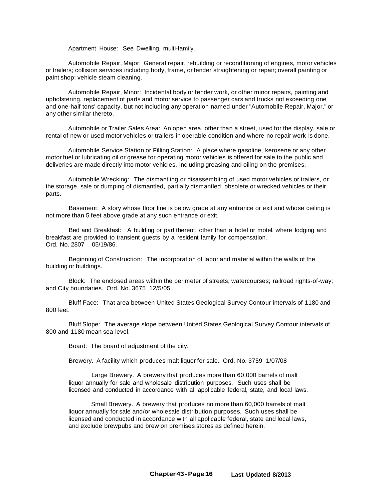Apartment House: See Dwelling, multi-family.

Automobile Repair, Major: General repair, rebuilding or reconditioning of engines, motor vehicles or trailers; collision services including body, frame, or fender straightening or repair; overall painting or paint shop; vehicle steam cleaning.

Automobile Repair, Minor: Incidental body or fender work, or other minor repairs, painting and upholstering, replacement of parts and motor service to passenger cars and trucks not exceeding one and one-half tons' capacity, but not including any operation named under "Automobile Repair, Major," or any other similar thereto.

Automobile or Trailer Sales Area: An open area, other than a street, used for the display, sale or rental of new or used motor vehicles or trailers in operable condition and where no repair work is done.

Automobile Service Station or Filling Station: A place where gasoline, kerosene or any other motor fuel or lubricating oil or grease for operating motor vehicles is offered for sale to the public and deliveries are made directly into motor vehicles, including greasing and oiling on the premises.

Automobile Wrecking: The dismantling or disassembling of used motor vehicles or trailers, or the storage, sale or dumping of dismantled, partially dismantled, obsolete or wrecked vehicles or their parts.

Basement: A story whose floor line is below grade at any entrance or exit and whose ceiling is not more than 5 feet above grade at any such entrance or exit.

Bed and Breakfast: A building or part thereof, other than a hotel or motel, where lodging and breakfast are provided to transient guests by a resident family for compensation. Ord. No. 2807 05/19/86.

Beginning of Construction: The incorporation of labor and material within the walls of the building or buildings.

Block: The enclosed areas within the perimeter of streets; watercourses; railroad rights-of-way; and City boundaries. Ord. No. 3675 12/5/05

Bluff Face: That area between United States Geological Survey Contour intervals of 1180 and 800 feet.

Bluff Slope: The average slope between United States Geological Survey Contour intervals of 800 and 1180 mean sea level.

Board: The board of adjustment of the city.

Brewery. A facility which produces malt liquor for sale. Ord. No. 3759 1/07/08

Large Brewery. A brewery that produces more than 60,000 barrels of malt liquor annually for sale and wholesale distribution purposes. Such uses shall be licensed and conducted in accordance with all applicable federal, state, and local laws.

Small Brewery. A brewery that produces no more than 60,000 barrels of malt liquor annually for sale and/or wholesale distribution purposes. Such uses shall be licensed and conducted in accordance with all applicable federal, state and local laws, and exclude brewpubs and brew on premises stores as defined herein.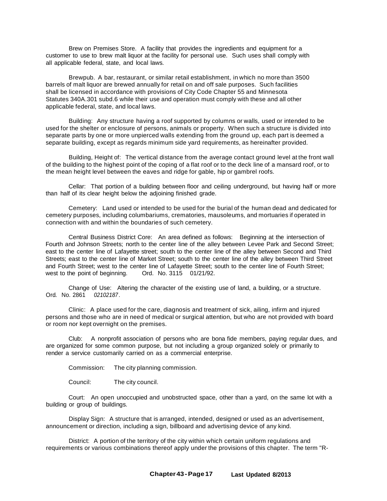Brew on Premises Store. A facility that provides the ingredients and equipment for a customer to use to brew malt liquor at the facility for personal use. Such uses shall comply with all applicable federal, state, and local laws.

Brewpub. A bar, restaurant, or similar retail establishment, in which no more than 3500 barrels of malt liquor are brewed annually for retail on and off sale purposes. Such facilities shall be licensed in accordance with provisions of City Code Chapter 55 and Minnesota Statutes 340A.301 subd.6 while their use and operation must comply with these and all other applicable federal, state, and local laws.

Building: Any structure having a roof supported by columns or walls, used or intended to be used for the shelter or enclosure of persons, animals or property. When such a structure is divided into separate parts by one or more unpierced walls extending from the ground up, each part is deemed a separate building, except as regards minimum side yard requirements, as hereinafter provided.

Building, Height of: The vertical distance from the average contact ground level at the front wall of the building to the highest point of the coping of a flat roof or to the deck line of a mansard roof, or to the mean height level between the eaves and ridge for gable, hip or gambrel roofs.

Cellar: That portion of a building between floor and ceiling underground, but having half or more than half of its clear height below the adjoining finished grade.

Cemetery: Land used or intended to be used for the burial of the human dead and dedicated for cemetery purposes, including columbariums, crematories, mausoleums, and mortuaries if operated in connection with and within the boundaries of such cemetery.

Central Business District Core: An area defined as follows: Beginning at the intersection of Fourth and Johnson Streets; north to the center line of the alley between Levee Park and Second Street; east to the center line of Lafayette street; south to the center line of the alley between Second and Third Streets; east to the center line of Market Street; south to the center line of the alley between Third Street and Fourth Street; west to the center line of Lafayette Street; south to the center line of Fourth Street; west to the point of beginning. Ord. No. 3115 01/21/92. west to the point of beginning.

Change of Use: Altering the character of the existing use of land, a building, or a structure. Ord. No. 2861 *02102187 .*

Clinic: A place used for the care, diagnosis and treatment of sick, ailing, infirm and injured persons and those who are in need of medical or surgical attention, but who are not provided with board or room nor kept overnight on the premises.

Club: A nonprofit association of persons who are bona fide members, paying regular dues, and are organized for some common purpose, but not including a group organized solely or primarily to render a service customarily carried on as a commercial enterprise.

Commission: The city planning commission.

Council: The city council.

Court: An open unoccupied and unobstructed space, other than a yard, on the same lot with a building or group of buildings.

Display Sign: A structure that is arranged, intended, designed or used as an advertisement, announcement or direction, including a sign, billboard and advertising device of any kind.

District: A portion of the territory of the city within which certain uniform regulations and requirements or various combinations thereof apply under the provisions of this chapter. The term "R-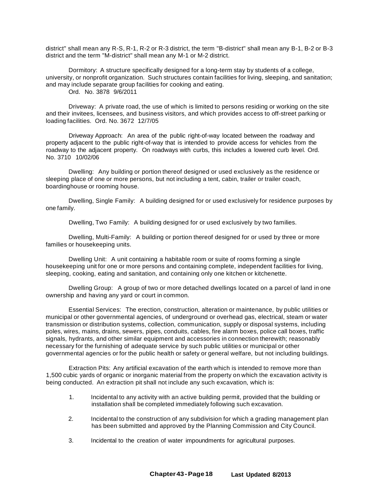district" shall mean any R-S, R-1, R-2 or R-3 district, the term "B-district" shall mean any B-1, B-2 or B-3 district and the term "M-district" shall mean any M-1 or M-2 district.

Dormitory: A structure specifically designed for a long-term stay by students of a college. university, or nonprofit organization. Such structures contain facilities for living, sleeping, and sanitation; and may include separate group facilities for cooking and eating.

Ord. No. 3878 9/6/2011

Driveway: A private road, the use of which is limited to persons residing or working on the site and their invitees, licensees, and business visitors, and which provides access to off-street parking or loading facilities. Ord. No. 3672 12/7/05

Driveway Approach: An area of the public right-of-way located between the roadway and property adjacent to the public right-of-way that is intended to provide access for vehicles from the roadway to the adjacent property. On roadways with curbs, this includes a lowered curb level. Ord. No. 3710 10/02/06

Dwelling: Any building or portion thereof designed or used exclusively as the residence or sleeping place of one or more persons, but not including a tent, cabin, trailer or trailer coach, boardinghouse or rooming house.

Dwelling, Single Family: A building designed for or used exclusively for residence purposes by one family.

Dwelling, Two Family: A building designed for or used exclusively by two families.

Dwelling, Multi-Family: A building or portion thereof designed for or used by three or more families or housekeeping units.

Dwelling Unit: A unit containing a habitable room or suite of rooms forming a single housekeeping unit for one or more persons and containing complete, independent facilities for living, sleeping, cooking, eating and sanitation, and containing only one kitchen or kitchenette.

Dwelling Group: A group of two or more detached dwellings located on a parcel of land in one ownership and having any yard or court in common.

Essential Services: The erection, construction, alteration or maintenance, by public utilities or municipal or other governmental agencies, of underground or overhead gas, electrical, steam or water transmission or distribution systems, collection, communication, supply or disposal systems, including poles, wires, mains, drains, sewers, pipes, conduits, cables, fire alarm boxes, police call boxes, traffic signals, hydrants, and other similar equipment and accessories in connection therewith; reasonably necessary for the furnishing of adequate service by such public utilities or municipal or other governmental agencies or for the public health or safety or general welfare, but not including buildings.

Extraction Pits: Any artificial excavation of the earth which is intended to remove more than 1,500 cubic yards of organic or inorganic material from the property on which the excavation activity is being conducted. An extraction pit shall not include any such excavation, which is:

- 1. Incidental to any activity with an active building permit, provided that the building or installation shall be completed immediately following such excavation.
- 2. Incidental to the construction of any subdivision for which a grading management plan has been submitted and approved by the Planning Commission and City Council.
- 3. Incidental to the creation of water impoundments for agricultural purposes.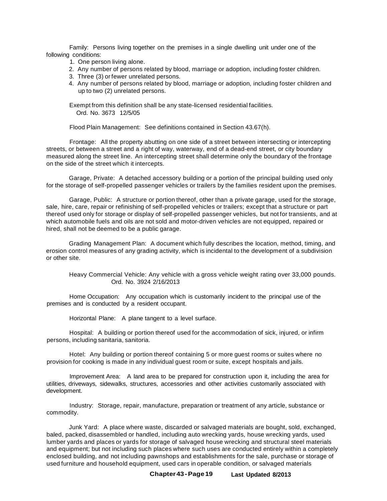Family: Persons living together on the premises in a single dwelling unit under one of the following conditions:

- 1. One person living alone.
- 2. Any number of persons related by blood, marriage or adoption, including foster children.
- 3. Three (3) or fewer unrelated persons.
- 4. Any number of persons related by blood, marriage or adoption, including foster children and up to two (2) unrelated persons.

Exempt from this definition shall be any state-licensed residential facilities. Ord. No. 3673 12/5/05

Flood Plain Management: See definitions contained in Section 43.67(h).

Frontage: All the property abutting on one side of a street between intersecting or intercepting streets, or between a street and a right of way, waterway, end of a dead-end street, or city boundary measured along the street line. An intercepting street shall determine only the boundary of the frontage on the side of the street which it intercepts.

Garage, Private: A detached accessory building or a portion of the principal building used only for the storage of self-propelled passenger vehicles or trailers by the families resident upon the premises.

Garage, Public: A structure or portion thereof, other than a private garage, used for the storage, sale, hire, care, repair or refinishing of self-propelled vehicles or trailers; except that a structure or part thereof used only for storage or display of self-propelled passenger vehicles, but not for transients, and at which automobile fuels and oils are not sold and motor-driven vehicles are not equipped, repaired or hired, shall not be deemed to be a public garage.

Grading Management Plan: A document which fully describes the location, method, timing, and erosion control measures of any grading activity, which is incidental to the development of a subdivision or other site.

Heavy Commercial Vehicle: Any vehicle with a gross vehicle weight rating over 33,000 pounds. Ord. No. 3924 2/16/2013

Home Occupation: Any occupation which is customarily incident to the principal use of the premises and is conducted by a resident occupant.

Horizontal Plane: A plane tangent to a level surface.

Hospital: A building or portion thereof used for the accommodation of sick, injured, or infirm persons, including sanitaria, sanitoria.

Hotel: Any building or portion thereof containing 5 or more guest rooms or suites where no provision for cooking is made in any individual guest room or suite, except hospitals and jails.

Improvement Area: A land area to be prepared for construction upon it, including the area for utilities, driveways, sidewalks, structures, accessories and other activities customarily associated with development.

Industry: Storage, repair, manufacture, preparation or treatment of any article, substance or commodity.

Junk Yard: A place where waste, discarded or salvaged materials are bought, sold, exchanged, baled, packed, disassembled or handled, including auto wrecking yards, house wrecking yards, used lumber yards and places or yards for storage of salvaged house wrecking and structural steel materials and equipment; but not including such places where such uses are conducted entirely within a completely enclosed building, and not including pawnshops and establishments for the sale, purchase or storage of used furniture and household equipment, used cars in operable condition, or salvaged materials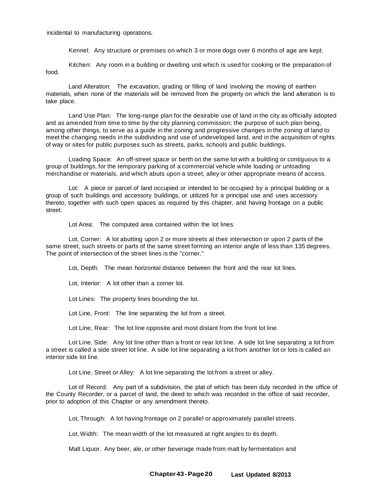incidental to manufacturing operations.

Kennel: Any structure or premises on which 3 or more dogs over 6 months of age are kept.

food. Kitchen: Any room in a building or dwelling unit which is used for cooking or the preparation of

Land Alteration: The excavation, grading or filling of land involving the moving of earthen materials, when none of the materials will be removed from the property on which the land alteration is to take place.

Land Use Plan: The long-range plan for the desirable use of land in the city as officially adopted and as amended from time to time by the city planning commission; the purpose of such plan being, among other things, to serve as a guide in the zoning and progressive changes in the zoning of land to meet the changing needs in the subdividing and use of undeveloped land, and in the acquisition of rights of way or sites for public purposes such as streets, parks, schools and public buildings.

Loading Space: An off-street space or berth on the same lot with a building or contiguous to a group of buildings, for the temporary parking of a commercial vehicle while loading or unloading merchandise or materials, and which abuts upon a street, alley or other appropriate means of access.

Lot: A piece or parcel of land occupied or intended to be occupied by a principal building or a group of such buildings and accessory buildings, or utilized for a principal use and uses accessory thereto, together with such open spaces as required by this chapter, and having frontage on a public street.

Lot Area: The computed area contained within the lot lines.

Lot, Corner: A lot abutting upon 2 or more streets at their intersection or upon 2 parts of the same street, such streets or parts of the same street forming an interior angle of less than 135 degrees. The point of intersection of the street lines is the "corner."

Lot, Depth: The mean horizontal distance between the front and the rear lot lines.

Lot, Interior: A lot other than a corner lot.

Lot Lines: The property lines bounding the lot.

Lot Line, Front: The line separating the lot from a street.

Lot Line, Rear: The lot line opposite and most distant from the front lot line.

Lot Line, Side: Any lot line other than a front or rear lot line. A side lot line separating a lot from a street is called a side street lot line. A side lot line separating a lot from another lot or lots is called an interior side lot line.

Lot Line, Street or Alley: A lot line separating the lot from a street or alley.

Lot of Record: Any part of a subdivision, the plat of which has been duly recorded in the office of the County Recorder, or a parcel of land, the deed to which was recorded in the office of said recorder, prior to adoption of this Chapter or any amendment thereto.

Lot, Through: A lot having frontage on 2 parallel or approximately parallel streets.

Lot, Width: The mean width of the lot measured at right angles to its depth.

Malt Liquor. Any beer, ale, or other beverage made from malt by fermentation and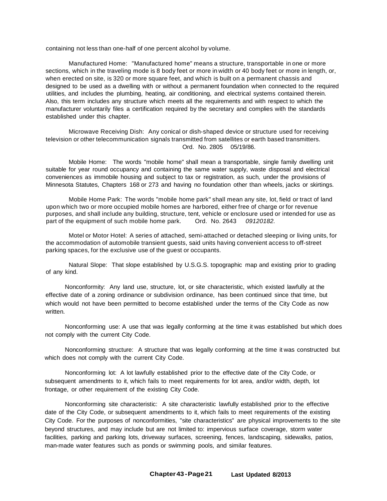containing not less than one-half of one percent alcohol by volume.

Manufactured Home: "Manufactured home" means a structure, transportable in one or more sections, which in the traveling mode is 8 body feet or more in width or 40 body feet or more in length, or, when erected on site, is 320 or more square feet, and which is built on a permanent chassis and designed to be used as a dwelling with or without a permanent foundation when connected to the required utilities, and includes the plumbing, heating, air conditioning, and electrical systems contained therein. Also, this term includes any structure which meets all the requirements and with respect to which the manufacturer voluntarily files a certification required by the secretary and complies with the standards established under this chapter.

Microwave Receiving Dish: Any conical or dish-shaped device or structure used for receiving television or other telecommunication signals transmitted from satellites or earth based transmitters. Ord. No. 2805 05/19/86.

Mobile Home: The words "mobile home" shall mean a transportable, single family dwelling unit suitable for year round occupancy and containing the same water supply, waste disposal and electrical conveniences as immobile housing and subject to tax or registration, as such, under the provisions of Minnesota Statutes, Chapters 168 or 273 and having no foundation other than wheels, jacks or skirtings.

Mobile Home Park: The words "mobile home park" shall mean any site, lot, field or tract of land upon which two or more occupied mobile homes are harbored, either free of charge or for revenue purposes, and shall include any building, structure, tent, vehicle or enclosure used or intended for use as part of the equipment of such mobile home park. Ord. No. 2643 *09120182.*

Motel or Motor Hotel: A series of attached, semi-attached or detached sleeping or living units, for the accommodation of automobile transient guests, said units having convenient access to off-street parking spaces, for the exclusive use of the guest or occupants.

Natural Slope: That slope established by U.S.G.S. topographic map and existing prior to grading of any kind.

Nonconformity: Any land use, structure, lot, or site characteristic, which existed lawfully at the effective date of a zoning ordinance or subdivision ordinance, has been continued since that time, but which would not have been permitted to become established under the terms of the City Code as now written.

Nonconforming use: A use that was legally conforming at the time it was established but which does not comply with the current City Code.

Nonconforming structure: A structure that was legally conforming at the time it was constructed but which does not comply with the current City Code.

Nonconforming lot: A lot lawfully established prior to the effective date of the City Code, or subsequent amendments to it, which fails to meet requirements for lot area, and/or width, depth, lot frontage, or other requirement of the existing City Code.

Nonconforming site characteristic: A site characteristic lawfully established prior to the effective date of the City Code, or subsequent amendments to it, which fails to meet requirements of the existing City Code. For the purposes of nonconformities, "site characteristics" are physical improvements to the site beyond structures, and may include but are not limited to: impervious surface coverage, storm water facilities, parking and parking lots, driveway surfaces, screening, fences, landscaping, sidewalks, patios, man-made water features such as ponds or swimming pools, and similar features.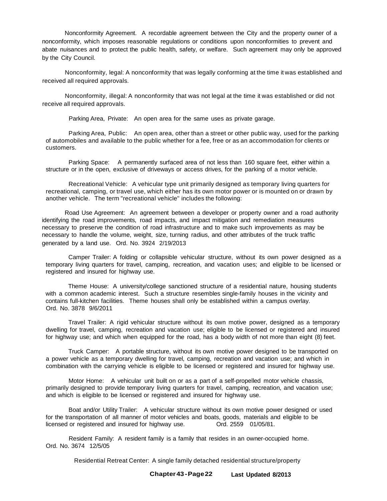Nonconformity Agreement. A recordable agreement between the City and the property owner of a nonconformity, which imposes reasonable regulations or conditions upon nonconformities to prevent and abate nuisances and to protect the public health, safety, or welfare. Such agreement may only be approved by the City Council.

Nonconformity, legal: A nonconformity that was legally conforming at the time it was established and received all required approvals.

Nonconformity, illegal: A nonconformity that was not legal at the time it was established or did not receive all required approvals.

Parking Area, Private: An open area for the same uses as private garage.

Parking Area, Public: An open area, other than a street or other public way, used for the parking of automobiles and available to the public whether for a fee, free or as an accommodation for clients or customers.

Parking Space: A permanently surfaced area of not less than 160 square feet, either within a structure or in the open, exclusive of driveways or access drives, for the parking of a motor vehicle.

Recreational Vehicle: A vehicular type unit primarily designed as temporary living quarters for recreational, camping, or travel use, which either has its own motor power or is mounted on or drawn by another vehicle. The term "recreational vehicle" includes the following:

Road Use Agreement: An agreement between a developer or property owner and a road authority identifying the road improvements, road impacts, and impact mitigation and remediation measures necessary to preserve the condition of road infrastructure and to make such improvements as may be necessary to handle the volume, weight, size, turning radius, and other attributes of the truck traffic generated by a land use. Ord. No. 3924 2/19/2013

Camper Trailer: A folding or collapsible vehicular structure, without its own power designed as a temporary living quarters for travel, camping, recreation, and vacation uses; and eligible to be licensed or registered and insured for highway use.

Theme House: A university/college sanctioned structure of a residential nature, housing students with a common academic interest. Such a structure resembles single-family houses in the vicinity and contains full-kitchen facilities. Theme houses shall only be established within a campus overlay. Ord. No. 3878 9/6/2011

Travel Trailer: A rigid vehicular structure without its own motive power, designed as a temporary dwelling for travel, camping, recreation and vacation use; eligible to be licensed or registered and insured for highway use; and which when equipped for the road, has a body width of not more than eight (8) feet.

Truck Camper: A portable structure, without its own motive power designed to be transported on a power vehicle as a temporary dwelling for travel, camping, recreation and vacation use; and which in combination with the carrying vehicle is eligible to be licensed or registered and insured for highway use.

Motor Home: A vehicular unit built on or as a part of a self-propelled motor vehicle chassis, primarily designed to provide temporary living quarters for travel, camping, recreation, and vacation use; and which is eligible to be licensed or registered and insured for highway use.

Boat and/or Utility Trailer: A vehicular structure without its own motive power designed or used for the transportation of all manner of motor vehicles and boats, goods, materials and eligible to be licensed or registered and insured for highway use. Ord. 2559 01/05/81.

Resident Family: A resident family is a family that resides in an owner-occupied home. Ord. No. 3674 12/5/05

Residential Retreat Center: A single family detached residential structure/property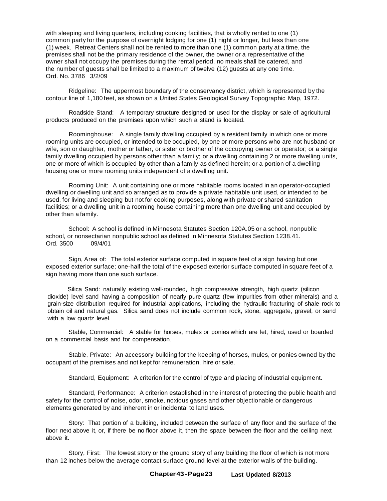with sleeping and living quarters, including cooking facilities, that is wholly rented to one (1) common party for the purpose of overnight lodging for one (1) night or longer, but less than one (1) week. Retreat Centers shall not be rented to more than one (1) common party at a time, the premises shall not be the primary residence of the owner, the owner or a representative of the owner shall not occupy the premises during the rental period, no meals shall be catered, and the number of guests shall be limited to a maximum of twelve (12) guests at any one time. Ord. No. 3786 3/2/09

Ridgeline: The uppermost boundary of the conservancy district, which is represented by the contour line of 1,180 feet, as shown on a United States Geological Survey Topographic Map, 1972.

Roadside Stand: A temporary structure designed or used for the display or sale of agricultural products produced on the premises upon which such a stand is located.

Roominghouse: A single family dwelling occupied by a resident family in which one or more rooming units are occupied, or intended to be occupied, by one or more persons who are not husband or wife, son or daughter, mother or father, or sister or brother of the occupying owner or operator; or a single family dwelling occupied by persons other than a family; or a dwelling containing 2 or more dwelling units, one or more of which is occupied by other than a family as defined herein; or a portion of a dwelling housing one or more rooming units independent of a dwelling unit.

Rooming Unit: A unit containing one or more habitable rooms located in an operator-occupied dwelling or dwelling unit and so arranged as to provide a private habitable unit used, or intended to be used, for living and sleeping but not for cooking purposes, along with private or shared sanitation facilities; or a dwelling unit in a rooming house containing more than one dwelling unit and occupied by other than a family.

School: A school is defined in Minnesota Statutes Section 120A.05 or a school, nonpublic school, or nonsectarian nonpublic school as defined in Minnesota Statutes Section 1238.41.<br>Ord. 3500 09/4/01 Ord. 3500

Sign, Area of: The total exterior surface computed in square feet of a sign having but one exposed exterior surface; one-half the total of the exposed exterior surface computed in square feet of a sign having more than one such surface.

Silica Sand: naturally existing well-rounded, high compressive strength, high quartz (silicon dioxide) level sand having a composition of nearly pure quartz (few impurities from other minerals) and a grain-size distribution required for industrial applications, including the hydraulic fracturing of shale rock to obtain oil and natural gas. Silica sand does not include common rock, stone, aggregate, gravel, or sand with a low quartz level.

Stable, Commercial: A stable for horses, mules or ponies which are let, hired, used or boarded on a commercial basis and for compensation.

Stable, Private: An accessory building for the keeping of horses, mules, or ponies owned by the occupant of the premises and not kept for remuneration, hire or sale.

Standard, Equipment: A criterion for the control of type and placing of industrial equipment.

Standard, Performance: A criterion established in the interest of protecting the public health and safety for the control of noise, odor, smoke, noxious gases and other objectionable or dangerous elements generated by and inherent in or incidental to land uses.

Story: That portion of a building, included between the surface of any floor and the surface of the floor next above it, or, if there be no floor above it, then the space between the floor and the ceiling next above it.

Story, First: The lowest story or the ground story of any building the floor of which is not more than 12 inches below the average contact surface ground level at the exterior walls of the building.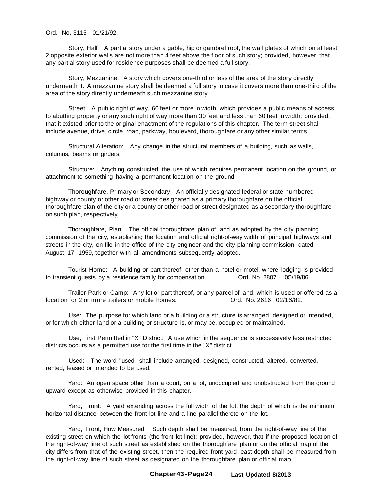Ord. No. 3115 01/21/92.

Story, Half: A partial story under a gable, hip or gambrel roof, the wall plates of which on at least 2 opposite exterior walls are not more than 4 feet above the floor of such story; provided, however, that any partial story used for residence purposes shall be deemed a full story.

Story, Mezzanine: A story which covers one-third or less of the area of the story directly underneath it. A mezzanine story shall be deemed a full story in case it covers more than one-third of the area of the story directly underneath such mezzanine story.

Street: A public right of way, 60 feet or more in width, which provides a public means of access to abutting property or any such right of way more than 30 feet and less than 60 feet in width; provided, that it existed prior to the original enactment of the regulations of this chapter. The term street shall include avenue, drive, circle, road, parkway, boulevard, thoroughfare or any other similar terms.

Structural Alteration: Any change in the structural members of a building, such as walls, columns, beams or girders.

Structure: Anything constructed, the use of which requires permanent location on the ground, or attachment to something having a permanent location on the ground.

Thoroughfare, Primary or Secondary: An officially designated federal or state numbered highway or county or other road or street designated as a primary thoroughfare on the official thoroughfare plan of the city or a county or other road or street designated as a secondary thoroughfare on such plan, respectively.

Thoroughfare, Plan: The official thoroughfare plan of, and as adopted by the city planning commission of the city, establishing the location and official right-of-way width of principal highways and streets in the city, on file in the office of the city engineer and the city planning commission, dated August 17, 1959, together with all amendments subsequently adopted.

Tourist Home: A building or part thereof, other than a hotel or motel, where lodging is provided to transient quests by a residence family for compensation. Ord. No. 2807 05/19/86.

Trailer Park or Camp: Any lot or part thereof, or any parcel of land, which is used or offered as a location for 2 or more trailers or mobile homes. Ord. No. 2616 02/16/82.

Use: The purpose for which land or a building or a structure is arranged, designed or intended, or for which either land or a building or structure is, or may be, occupied or maintained.

Use, First Permitted in "X" District: A use which in the sequence is successively less restricted districts occurs as a permitted use for the first time in the "X" district.

Used: The word "used" shall include arranged, designed, constructed, altered, converted, rented, leased or intended to be used.

Yard: An open space other than a court, on a lot, unoccupied and unobstructed from the ground upward except as otherwise provided in this chapter.

Yard, Front: A yard extending across the full width of the lot, the depth of which is the minimum horizontal distance between the front lot line and a line parallel thereto on the lot.

Yard, Front, How Measured: Such depth shall be measured, from the right-of-way line of the existing street on which the lot fronts (the front lot line); provided, however, that if the proposed location of the right-of-way line of such street as established on the thoroughfare plan or on the official map of the city differs from that of the existing street, then the required front yard least depth shall be measured from the right-of-way line of such street as designated on the thoroughfare plan or official map.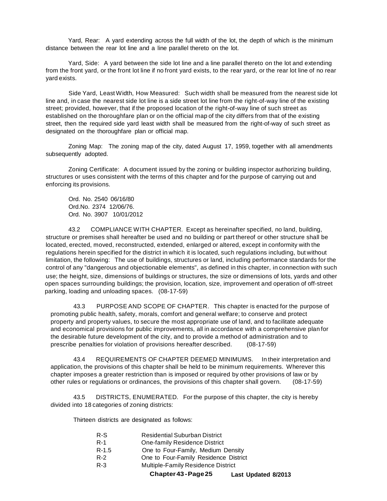Yard, Rear: A yard extending across the full width of the lot, the depth of which is the minimum distance between the rear lot line and a line parallel thereto on the lot.

Yard, Side: A yard between the side lot line and a line parallel thereto on the lot and extending from the front yard, or the front lot line if no front yard exists, to the rear yard, or the rear lot line of no rear yard exists.

Side Yard, Least Width, How Measured: Such width shall be measured from the nearest side lot line and, in case the nearest side lot line is a side street lot line from the right-of-way line of the existing street; provided, however, that if the proposed location of the right-of-way line of such street as established on the thoroughfare plan or on the official map of the city differs from that of the existing street, then the required side yard least width shall be measured from the right-of-way of such street as designated on the thoroughfare plan or official map.

Zoning Map: The zoning map of the city, dated August 17, 1959, together with all amendments subsequently adopted.

Zoning Certificate: A document issued by the zoning or building inspector authorizing building, structures or uses consistent with the terms of this chapter and for the purpose of carrying out and enforcing its provisions.

Ord. No. 2540 06/16/80 Ord.No. 2374 12/06/76. Ord. No. 3907 10/01/2012

43.2 COMPLIANCE WITH CHAPTER. Except as hereinafter specified, no land, building, structure or premises shall hereafter be used and no building or part thereof or other structure shall be located, erected, moved, reconstructed, extended, enlarged or altered, except in conformity with the regulations herein specified for the district in which it is located, such regulations including, but without limitation, the following: The use of buildings, structures or land, including performance standards for the control of any "dangerous and objectionable elements", as defined in this chapter, in connection with such use; the height, size, dimensions of buildings or structures, the size or dimensions of lots, yards and other open spaces surrounding buildings; the provision, location, size, improvement and operation of off-street parking, loading and unloading spaces. (08-17-59)

43.3 PURPOSE AND SCOPE OF CHAPTER. This chapter is enacted for the purpose of promoting public health, safety, morals, comfort and general welfare; to conserve and protect property and property values, to secure the most appropriate use of land, and to facilitate adequate and economical provisions for public improvements, all in accordance with a comprehensive plan for the desirable future development of the city, and to provide a method of administration and to prescribe penalties for violation of provisions hereafter described. (08-17-59)

43.4 REQUIREMENTS OF CHAPTER DEEMED MINIMUMS. In their interpretation and application, the provisions of this chapter shall be held to be minimum requirements. Wherever this chapter imposes a greater restriction than is imposed or required by other provisions of law or by other rules or regulations or ordinances, the provisions of this chapter shall govern. (08-17-59)

43.5 DISTRICTS, ENUMERATED. For the purpose of this chapter, the city is hereby divided into 18 categories of zoning districts:

Thirteen districts are designated as follows:

- R-1 One-family Residence District
- R-1.5 One to Four-Family, Medium Density
- R-2 One to Four-Family Residence District
- R-3 Multiple-Family Residence District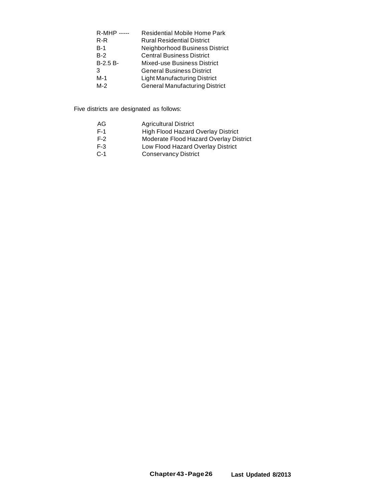| <b>R-MHP</b> ----- | <b>Residential Mobile Home Park</b>   |
|--------------------|---------------------------------------|
| $R-R$              | <b>Rural Residential District</b>     |
| $B-1$              | Neighborhood Business District        |
| $B-2$              | <b>Central Business District</b>      |
| $B-2.5B-$          | Mixed-use Business District           |
| 3                  | <b>General Business District</b>      |
| $M-1$              | <b>Light Manufacturing District</b>   |
| $M-2$              | <b>General Manufacturing District</b> |

Five districts are designated as follows:

- AG Agricultural District
- F-1 High Flood Hazard Overlay District
- F-2 Moderate Flood Hazard Overlay District
- F-3 Low Flood Hazard Overlay District
- C-1 Conservancy District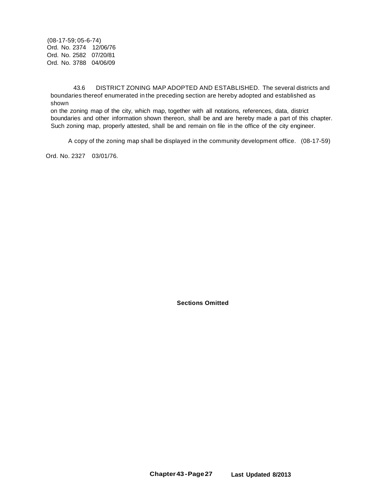(08-17-59; 05-6-74) Ord. No. 2374 12/06/76 Ord. No. 2582 07/20/81 Ord. No. 3788 04/06/09

43.6 DISTRICT ZONING MAP ADOPTED AND ESTABLISHED. The several districts and boundaries thereof enumerated in the preceding section are hereby adopted and established as shown

on the zoning map of the city, which map, together with all notations, references, data, district boundaries and other information shown thereon, shall be and are hereby made a part of this chapter. Such zoning map, properly attested, shall be and remain on file in the office of the city engineer.

A copy of the zoning map shall be displayed in the community development office. (08-17-59)

Ord. No. 2327 03/01/76.

**Sections Omitted**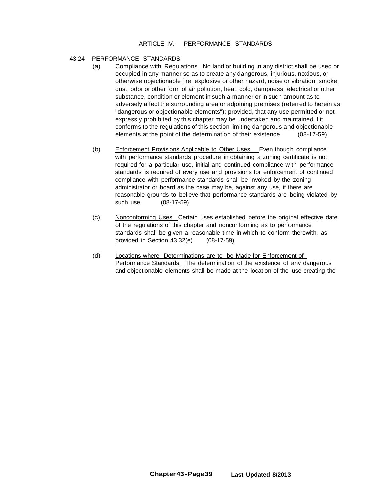## ARTICLE IV. PERFORMANCE STANDARDS

## 43.24 PERFORMANCE STANDARDS

- (a) Compliance with Regulations. No land or building in any district shall be used or occupied in any manner so as to create any dangerous, injurious, noxious, or otherwise objectionable fire, explosive or other hazard, noise or vibration, smoke, dust, odor or other form of air pollution, heat, cold, dampness, electrical or other substance, condition or element in such a manner or in such amount as to adversely affect the surrounding area or adjoining premises (referred to herein as "dangerous or objectionable elements"); provided, that any use permitted or not expressly prohibited by this chapter may be undertaken and maintained if it conforms to the regulations of this section limiting dangerous and objectionable elements at the point of the determination of their existence. (08-17-59)
- (b) Enforcement Provisions Applicable to Other Uses. Even though compliance with performance standards procedure in obtaining a zoning certificate is not required for a particular use, initial and continued compliance with performance standards is required of every use and provisions for enforcement of continued compliance with performance standards shall be invoked by the zoning administrator or board as the case may be, against any use, if there are reasonable grounds to believe that performance standards are being violated by such use. (08-17-59)
- (c) Nonconforming Uses. Certain uses established before the original effective date of the regulations of this chapter and nonconforming as to performance standards shall be given a reasonable time in which to conform therewith, as provided in Section 43.32(e). (08-17-59)
- (d) Locations where Determinations are to be Made for Enforcement of Performance Standards. The determination of the existence of any dangerous and objectionable elements shall be made at the location of the use creating the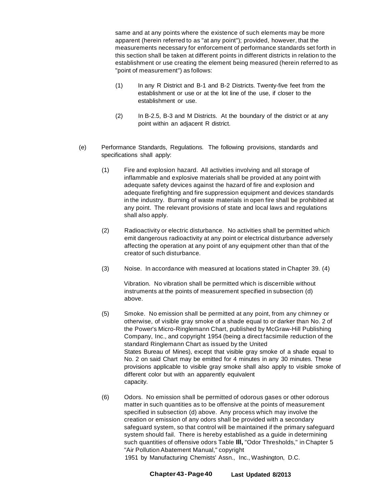same and at any points where the existence of such elements may be more apparent (herein referred to as "at any point"); provided, however, that the measurements necessary for enforcement of performance standards set forth in this section shall be taken at different points in different districts in relation to the establishment or use creating the element being measured (herein referred to as "point of measurement") as follows:

- (1) In any R District and B-1 and B-2 Districts. Twenty-five feet from the establishment or use or at the lot line of the use, if closer to the establishment or use.
- (2) In B-2.5, B-3 and M Districts. At the boundary of the district or at any point within an adjacent R district.
- (e) Performance Standards, Regulations. The following provisions, standards and specifications shall apply:
	- (1) Fire and explosion hazard. All activities involving and all storage of inflammable and explosive materials shall be provided at any point with adequate safety devices against the hazard of fire and explosion and adequate firefighting and fire suppression equipment and devices standards in the industry. Burning of waste materials in open fire shall be prohibited at any point. The relevant provisions of state and local laws and regulations shall also apply.
	- (2) Radioactivity or electric disturbance. No activities shall be permitted which emit dangerous radioactivity at any point or electrical disturbance adversely affecting the operation at any point of any equipment other than that of the creator of such disturbance.
	- (3) Noise. In accordance with measured at locations stated in Chapter 39. (4)

Vibration. No vibration shall be permitted which is discernible without instruments at the points of measurement specified in subsection (d) above.

- (5) Smoke. No emission shall be permitted at any point, from any chimney or otherwise, of visible gray smoke of a shade equal to or darker than No. 2 of the Power's Micro-Ringlemann Chart, published by McGraw-Hill Publishing Company, Inc., and copyright 1954 (being a direct facsimile reduction of the standard Ringlemann Chart as issued by the United States Bureau of Mines), except that visible gray smoke of a shade equal to No. 2 on said Chart may be emitted for 4 minutes in any 30 minutes. These provisions applicable to visible gray smoke shall also apply to visible smoke of different color but with an apparently equivalent capacity.
- (6) Odors. No emission shall be permitted of odorous gases or other odorous matter in such quantities as to be offensive at the points of measurement specified in subsection (d) above. Any process which may involve the creation or emission of any odors shall be provided with a secondary safeguard system, so that control will be maintained if the primary safeguard system should fail. There is hereby established as a guide in determining such quantities of offensive odors Table **Ill,** "Odor Thresholds," in Chapter 5 "Air Pollution Abatement Manual," copyright

1951 by Manufacturing Chemists' Assn., Inc., Washington, D.C.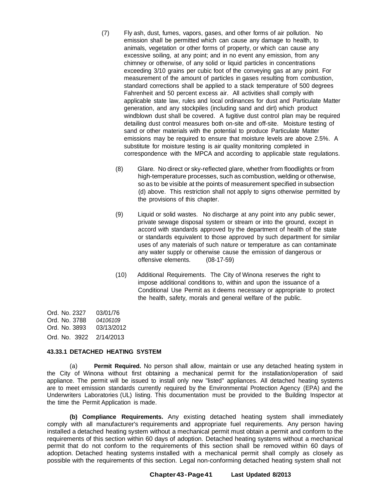- (7) Fly ash, dust, fumes, vapors, gases, and other forms of air pollution. No emission shall be permitted which can cause any damage to health, to animals, vegetation or other forms of property, or which can cause any excessive soiling, at any point; and in no event any emission, from any chimney or otherwise, of any solid or liquid particles in concentrations exceeding 3/10 grains per cubic foot of the conveving gas at any point. For measurement of the amount of particles in gases resulting from combustion, standard corrections shall be applied to a stack temperature of 500 degrees Fahrenheit and 50 percent excess air. All activities shall comply with applicable state law, rules and local ordinances for dust and Particulate Matter generation, and any stockpiles (including sand and dirt) which product windblown dust shall be covered. A fugitive dust control plan may be required detailing dust control measures both on-site and off-site. Moisture testing of sand or other materials with the potential to produce Particulate Matter emissions may be required to ensure that moisture levels are above 2.5%. A substitute for moisture testing is air quality monitoring completed in correspondence with the MPCA and according to applicable state regulations.
	- (8) Glare. No direct or sky-reflected glare, whether from floodlights or from high-temperature processes, such as combustion, welding or otherwise, so as to be visible at the points of measurement specified in subsection (d) above. This restriction shall not apply to signs otherwise permitted by the provisions of this chapter.
	- (9) Liquid or solid wastes. No discharge at any point into any public sewer, private sewage disposal system or stream or into the ground, except in accord with standards approved by the department of health of the state or standards equivalent to those approved by such department for similar uses of any materials of such nature or temperature as can contaminate any water supply or otherwise cause the emission of dangerous or offensive elements. (08-17-59)
	- (10) Additional Requirements. The City of Winona reserves the right to impose additional conditions to, within and upon the issuance of a Conditional Use Permit as it deems necessary or appropriate to protect the health, safety, morals and general welfare of the public.

Ord. No. 2327 Ord. No. 3788 Ord. No. 3893 Ord. No. 3922 2/14/2013 03/01/76 *04106109* 03/13/2012

## **43.33.1 DETACHED HEATING SYSTEM**

(a) **Permit Required.** No person shall allow, maintain or use any detached heating system in the City of Winona without first obtaining a mechanical permit for the installation/operation of said appliance. The permit will be issued to install only new "listed" appliances. All detached heating systems are to meet emission standards currently required by the Environmental Protection Agency (EPA) and the Underwriters Laboratories (UL) listing. This documentation must be provided to the Building Inspector at the time the Permit Application is made.

**(b) Compliance Requirements.** Any existing detached heating system shall immediately comply with all manufacturer's requirements and appropriate fuel requirements. Any person having installed a detached heating system without a mechanical permit must obtain a permit and conform to the requirements of this section within 60 days of adoption. Detached heating systems without a mechanical permit that do not conform to the requirements of this section shall be removed within 60 days of adoption. Detached heating systems installed with a mechanical permit shall comply as closely as possible with the requirements of this section. Legal non-conforming detached heating system shall not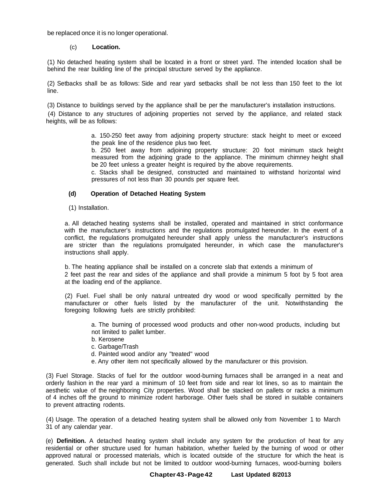be replaced once it is no longer operational.

## (c) **Location.**

(1) No detached heating system shall be located in a front or street yard. The intended location shall be behind the rear building line of the principal structure served by the appliance.

(2) Setbacks shall be as follows: Side and rear yard setbacks shall be not less than 150 feet to the lot line.

(3) Distance to buildings served by the appliance shall be per the manufacturer's installation instructions.

(4) Distance to any structures of adjoining properties not served by the appliance, and related stack heights, will be as follows:

> a. 150-250 feet away from adjoining property structure: stack height to meet or exceed the peak line of the residence plus two feet.

> b. 250 feet away from adjoining property structure: 20 foot minimum stack height measured from the adjoining grade to the appliance. The minimum chimney height shall be 20 feet unless a greater height is required by the above requirements.

> c. Stacks shall be designed, constructed and maintained to withstand horizontal wind pressures of not less than 30 pounds per square feet.

## **(d) Operation of Detached Heating System**

#### (1) Installation.

a. All detached heating systems shall be installed, operated and maintained in strict conformance with the manufacturer's instructions and the regulations promulgated hereunder. In the event of a conflict, the regulations promulgated hereunder shall apply unless the manufacturer's instructions are stricter than the regulations promulgated hereunder, in which case the manufacturer's instructions shall apply.

b. The heating appliance shall be installed on a concrete slab that extends a minimum of 2 feet past the rear and sides of the appliance and shall provide a minimum 5 foot by 5 foot area at the loading end of the appliance.

(2) Fuel. Fuel shall be only natural untreated dry wood or wood specifically permitted by the manufacturer or other fuels listed by the manufacturer of the unit. Notwithstanding the foregoing following fuels are strictly prohibited:

a. The burning of processed wood products and other non-wood products, including but not limited to pallet lumber.

- b. Kerosene
- c. Garbage/Trash
- d. Painted wood and/or any "treated" wood
- e. Any other item not specifically allowed by the manufacturer or this provision.

(3) Fuel Storage. Stacks of fuel for the outdoor wood-burning furnaces shall be arranged in a neat and orderly fashion in the rear yard a minimum of 10 feet from side and rear lot lines, so as to maintain the aesthetic value of the neighboring City properties. Wood shall be stacked on pallets or racks a minimum of 4 inches off the ground to minimize rodent harborage. Other fuels shall be stored in suitable containers to prevent attracting rodents.

(4) Usage. The operation of a detached heating system shall be allowed only from November 1 to March 31 of any calendar year.

(e) **Definition.** A detached heating system shall include any system for the production of heat for any residential or other structure used for human habitation, whether fueled by the burning of wood or other approved natural or processed materials, which is located outside of the structure for which the heat is generated. Such shall include but not be limited to outdoor wood-burning furnaces, wood-burning boilers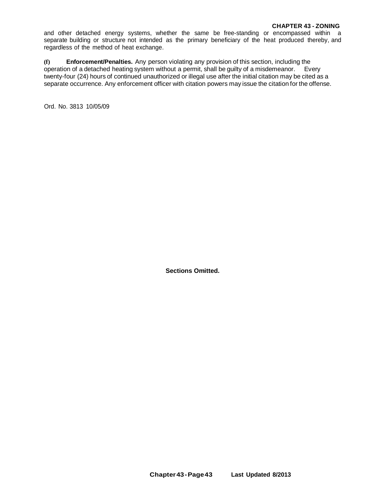and other detached energy systems, whether the same be free-standing or encompassed within a separate building or structure not intended as the primary beneficiary of the heat produced thereby, and regardless of the method of heat exchange.

**(f) Enforcement/Penalties.** Any person violating any provision of this section, including the operation of a detached heating system without a permit, shall be guilty of a misdemeanor. Every twenty-four (24) hours of continued unauthorized or illegal use after the initial citation may be cited as a separate occurrence. Any enforcement officer with citation powers may issue the citation for the offense.

Ord. No. 3813 10/05/09

**Sections Omitted.**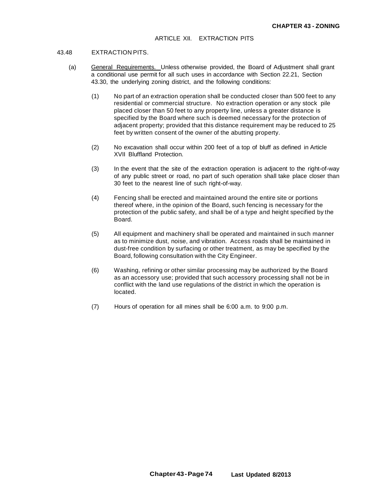#### 43.48 EXTRACTION PITS.

- (a) General Requirements. Unless otherwise provided, the Board of Adjustment shall grant a conditional use permit for all such uses in accordance with Section 22.21, Section 43.30, the underlying zoning district, and the following conditions:
	- (1) No part of an extraction operation shall be conducted closer than 500 feet to any residential or commercial structure. No extraction operation or any stock pile placed closer than 50 feet to any property line, unless a greater distance is specified by the Board where such is deemed necessary for the protection of adjacent property; provided that this distance requirement may be reduced to 25 feet by written consent of the owner of the abutting property.
	- (2) No excavation shall occur within 200 feet of a top of bluff as defined in Article XVII Bluffland Protection.
	- (3) In the event that the site of the extraction operation is adjacent to the right-of-way of any public street or road, no part of such operation shall take place closer than 30 feet to the nearest line of such right-of-way.
	- (4) Fencing shall be erected and maintained around the entire site or portions thereof where, in the opinion of the Board, such fencing is necessary for the protection of the public safety, and shall be of a type and height specified by the Board.
	- (5) All equipment and machinery shall be operated and maintained in such manner as to minimize dust, noise, and vibration. Access roads shall be maintained in dust-free condition by surfacing or other treatment, as may be specified by the Board, following consultation with the City Engineer.
	- (6) Washing, refining or other similar processing may be authorized by the Board as an accessory use; provided that such accessory processing shall not be in conflict with the land use regulations of the district in which the operation is located.
	- (7) Hours of operation for all mines shall be 6:00 a.m. to 9:00 p.m.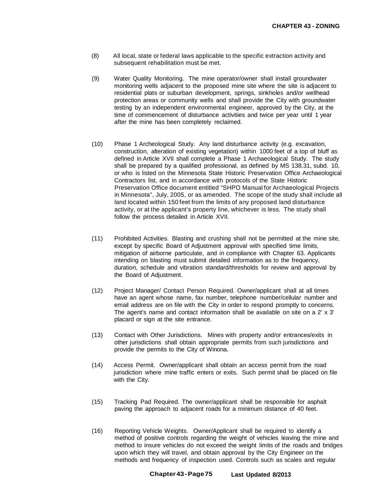- (8) All local, state or federal laws applicable to the specific extraction activity and subsequent rehabilitation must be met.
- (9) Water Quality Monitoring. The mine operator/owner shall install groundwater monitoring wells adjacent to the proposed mine site where the site is adjacent to residential plats or suburban development, springs, sinkholes and/or wellhead protection areas or community wells and shall provide the City with groundwater testing by an independent environmental engineer, approved by the City, at the time of commencement of disturbance activities and twice per year until 1 year after the mine has been completely reclaimed.
- (10) Phase 1 Archeological Study. Any land disturbance activity (e.g. excavation, construction, alteration of existing vegetation) within 1000 feet of a top of bluff as defined in Article XVII shall complete a Phase 1 Archaeological Study. The study shall be prepared by a qualified professional, as defined by MS 138.31, subd. 10, or who is listed on the Minnesota State Historic Preservation Office Archaeological Contractors list, and in accordance with protocols of the State Historic Preservation Office document entitled "SHPO Manual for Archaeological Projects in Minnesota", July, 2005, or as amended. The scope of the study shall include all land located within 150 feet from the limits of any proposed land disturbance activity, or at the applicant's property line, whichever is less. The study shall follow the process detailed in Article XVII.
- (11) Prohibited Activities. Blasting and crushing shall not be permitted at the mine site, except by specific Board of Adjustment approval with specified time limits, mitigation of airborne particulate, and in compliance with Chapter 63. Applicants intending on blasting must submit detailed information as to the frequency, duration, schedule and vibration standard/thresholds for review and approval by the Board of Adjustment.
- (12) Project Manager/ Contact Person Required. Owner/applicant shall at all times have an agent whose name, fax number, telephone number/cellular number and email address are on file with the City in order to respond promptly to concerns. The agent's name and contact information shall be available on site on a 2' x 3' placard or sign at the site entrance.
- (13) Contact with Other Jurisdictions. Mines with property and/or entrances/exits in other jurisdictions shall obtain appropriate permits from such jurisdictions and provide the permits to the City of Winona.
- (14) Access Permit. Owner/applicant shall obtain an access permit from the road jurisdiction where mine traffic enters or exits. Such permit shall be placed on file with the City.
- (15) Tracking Pad Required. The owner/applicant shall be responsible for asphalt paving the approach to adjacent roads for a minimum distance of 40 feet.
- (16) Reporting Vehicle Weights. Owner/Applicant shall be required to identify a method of positive controls regarding the weight of vehicles leaving the mine and method to insure vehicles do not exceed the weight limits of the roads and bridges upon which they will travel, and obtain approval by the City Engineer on the methods and frequency of inspection used. Controls such as scales and regular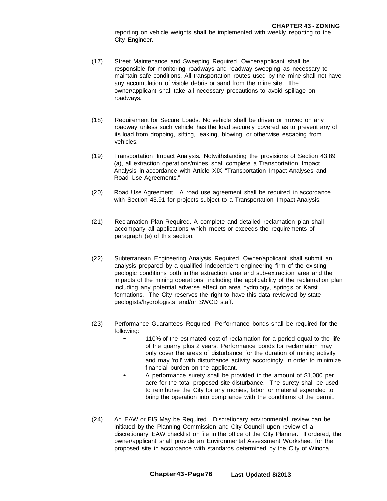reporting on vehicle weights shall be implemented with weekly reporting to the City Engineer.

- (17) Street Maintenance and Sweeping Required. Owner/applicant shall be responsible for monitoring roadways and roadway sweeping as necessary to maintain safe conditions. All transportation routes used by the mine shall not have any accumulation of visible debris or sand from the mine site. The owner/applicant shall take all necessary precautions to avoid spillage on roadways.
- (18) Requirement for Secure Loads. No vehicle shall be driven or moved on any roadway unless such vehicle has the load securely covered as to prevent any of its load from dropping, sifting, leaking, blowing, or otherwise escaping from vehicles.
- (19) Transportation Impact Analysis. Notwithstanding the provisions of Section 43.89 (a), all extraction operations/mines shall complete a Transportation Impact Analysis in accordance with Article XIX "Transportation Impact Analyses and Road Use Agreements."
- (20) Road Use Agreement. A road use agreement shall be required in accordance with Section 43.91 for projects subject to a Transportation Impact Analysis.
- (21) Reclamation Plan Required. A complete and detailed reclamation plan shall accompany all applications which meets or exceeds the requirements of paragraph (e) of this section.
- (22) Subterranean Engineering Analysis Required. Owner/applicant shall submit an analysis prepared by a qualified independent engineering firm of the existing geologic conditions both in the extraction area and sub-extraction area and the impacts of the mining operations, including the applicability of the reclamation plan including any potential adverse effect on area hydrology, springs or Karst formations. The City reserves the right to have this data reviewed by state geologists/hydrologists and/or SWCD staff.
- (23) Performance Guarantees Required. Performance bonds shall be required for the following:
	- 110% of the estimated cost of reclamation for <sup>a</sup> period equal to the life of the quarry plus 2 years. Performance bonds for reclamation may only cover the areas of disturbance for the duration of mining activity and may 'roll' with disturbance activity accordingly in order to minimize financial burden on the applicant.
	- <sup>A</sup> performance surety shall be provided in the amount of \$1,000 per acre for the total proposed site disturbance. The surety shall be used to reimburse the City for any monies, labor, or material expended to bring the operation into compliance with the conditions of the permit.
- (24) An EAW or EIS May be Required. Discretionary environmental review can be initiated by the Planning Commission and City Council upon review of a discretionary EAW checklist on file in the office of the City Planner. If ordered, the owner/applicant shall provide an Environmental Assessment Worksheet for the proposed site in accordance with standards determined by the City of Winona.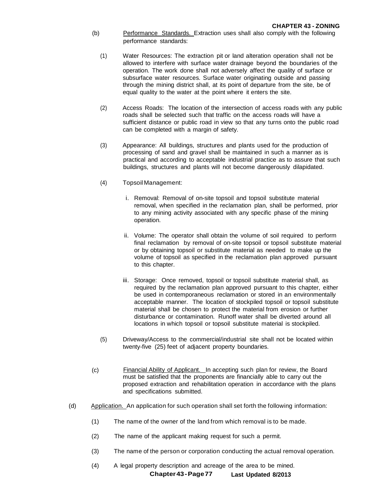- (b) Performance Standards. Extraction uses shall also comply with the following performance standards:
	- (1) Water Resources: The extraction pit or land alteration operation shall not be allowed to interfere with surface water drainage beyond the boundaries of the operation. The work done shall not adversely affect the quality of surface or subsurface water resources. Surface water originating outside and passing through the mining district shall, at its point of departure from the site, be of equal quality to the water at the point where it enters the site.
	- (2) Access Roads: The location of the intersection of access roads with any public roads shall be selected such that traffic on the access roads will have a sufficient distance or public road in view so that any turns onto the public road can be completed with a margin of safety.
	- (3) Appearance: All buildings, structures and plants used for the production of processing of sand and gravel shall be maintained in such a manner as is practical and according to acceptable industrial practice as to assure that such buildings, structures and plants will not become dangerously dilapidated.
	- (4) Topsoil Management:
		- i. Removal: Removal of on-site topsoil and topsoil substitute material removal, when specified in the reclamation plan, shall be performed, prior to any mining activity associated with any specific phase of the mining operation.
		- ii. Volume: The operator shall obtain the volume of soil required to perform final reclamation by removal of on-site topsoil or topsoil substitute material or by obtaining topsoil or substitute material as needed to make up the volume of topsoil as specified in the reclamation plan approved pursuant to this chapter.
		- iii. Storage: Once removed, topsoil or topsoil substitute material shall, as required by the reclamation plan approved pursuant to this chapter, either be used in contemporaneous reclamation or stored in an environmentally acceptable manner. The location of stockpiled topsoil or topsoil substitute material shall be chosen to protect the material from erosion or further disturbance or contamination. Runoff water shall be diverted around all locations in which topsoil or topsoil substitute material is stockpiled.
	- (5) Driveway/Access to the commercial/industrial site shall not be located within twenty-five (25) feet of adjacent property boundaries.
- (c) Financial Ability of Applicant. In accepting such plan for review, the Board must be satisfied that the proponents are financially able to carry out the proposed extraction and rehabilitation operation in accordance with the plans and specifications submitted.
- (d) Application. An application for such operation shall set forth the following information:
	- (1) The name of the owner of the land from which removal is to be made.
	- (2) The name of the applicant making request for such a permit.
	- (3) The name of the person or corporation conducting the actual removal operation.
	- (4) A legal property description and acreage of the area to be mined.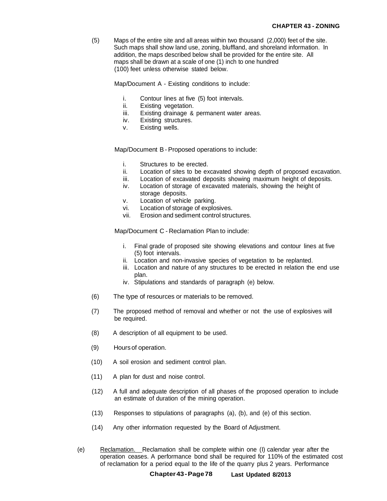(5) Maps of the entire site and all areas within two thousand (2,000) feet of the site. Such maps shall show land use, zoning, bluffland, and shoreland information. In addition, the maps described below shall be provided for the entire site. All maps shall be drawn at a scale of one (1) inch to one hundred (100) feet unless otherwise stated below.

Map/Document A - Existing conditions to include:

- i. Contour lines at five (5) foot intervals.
- ii. Existing vegetation.
- iii. Existing drainage & permanent water areas.
- iv. Existing structures.
- v. Existing wells.

Map/Document B- Proposed operations to include:

- i. Structures to be erected.
- ii. Location of sites to be excavated showing depth of proposed excavation.
- iii. Location of excavated deposits showing maximum height of deposits.
- iv. Location of storage of excavated materials, showing the height of storage deposits.
- v. Location of vehicle parking.
- vi. Location of storage of explosives.
- vii. Erosion and sediment control structures.

Map/Document C - Reclamation Plan to include:

- i. Final grade of proposed site showing elevations and contour lines at five (5) foot intervals.
- ii. Location and non-invasive species of vegetation to be replanted.
- iii. Location and nature of any structures to be erected in relation the end use plan.
- iv. Stipulations and standards of paragraph (e) below.
- (6) The type of resources or materials to be removed.
- (7) The proposed method of removal and whether or not the use of explosives will be required.
- (8) A description of all equipment to be used.
- (9) Hours of operation.
- (10) A soil erosion and sediment control plan.
- (11) A plan for dust and noise control.
- (12) A full and adequate description of all phases of the proposed operation to include an estimate of duration of the mining operation.
- (13) Responses to stipulations of paragraphs (a), (b), and (e) of this section.
- (14) Any other information requested by the Board of Adjustment.
- (e) Reclamation. Reclamation shall be complete within one (I) calendar year after the operation ceases. A performance bond shall be required for 110% of the estimated cost of reclamation for a period equal to the life of the quarry plus 2 years. Performance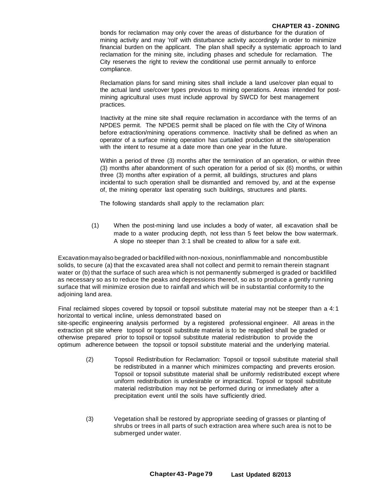#### **CHAPTER 43 - ZONING**

bonds for reclamation may only cover the areas of disturbance for the duration of mining activity and may 'roll' with disturbance activity accordingly in order to minimize financial burden on the applicant. The plan shall specify a systematic approach to land reclamation for the mining site, including phases and schedule for reclamation. The City reserves the right to review the conditional use permit annually to enforce compliance.

Reclamation plans for sand mining sites shall include a land use/cover plan equal to the actual land use/cover types previous to mining operations. Areas intended for postmining agricultural uses must include approval by SWCD for best management practices.

Inactivity at the mine site shall require reclamation in accordance with the terms of an NPDES permit. The NPDES permit shall be placed on file with the City of Winona before extraction/mining operations commence. Inactivity shall be defined as when an operator of a surface mining operation has curtailed production at the site/operation with the intent to resume at a date more than one year in the future.

Within a period of three (3) months after the termination of an operation, or within three (3) months after abandonment of such operation for a period of six (6) months, or within three (3) months after expiration of a permit, all buildings, structures and plans incidental to such operation shall be dismantled and removed by, and at the expense of, the mining operator last operating such buildings, structures and plants.

The following standards shall apply to the reclamation plan:

(1) When the post-mining land use includes a body of water, all excavation shall be made to a water producing depth, not less than 5 feet below the bow watermark. A slope no steeper than 3:1 shall be created to allow for a safe exit.

Excavationmayalso begraded or backfilled with non-noxious, noninflammable and noncombustible solids, to secure (a) that the excavated area shall not collect and permit to remain therein stagnant water or (b) that the surface of such area which is not permanently submerged is graded or backfilled as necessary so as to reduce the peaks and depressions thereof, so as to produce a gently running surface that will minimize erosion due to rainfall and which will be in substantial conformity to the adjoining land area.

Final reclaimed slopes covered by topsoil or topsoil substitute material may not be steeper than a 4: 1 horizontal to vertical incline, unless demonstrated based on

site-specific engineering analysis performed by a registered professional engineer. All areas in the extraction pit site where topsoil or topsoil substitute material is to be reapplied shall be graded or otherwise prepared prior to topsoil or topsoil substitute material redistribution to provide the optimum adherence between the topsoil or topsoil substitute material and the underlying material.

- (2) Topsoil Redistribution for Reclamation: Topsoil or topsoil substitute material shall be redistributed in a manner which minimizes compacting and prevents erosion. Topsoil or topsoil substitute material shall be uniformly redistributed except where uniform redistribution is undesirable or impractical. Topsoil or topsoil substitute material redistribution may not be performed during or immediately after a precipitation event until the soils have sufficiently dried.
- (3) Vegetation shall be restored by appropriate seeding of grasses or planting of shrubs or trees in all parts of such extraction area where such area is not to be submerged under water.